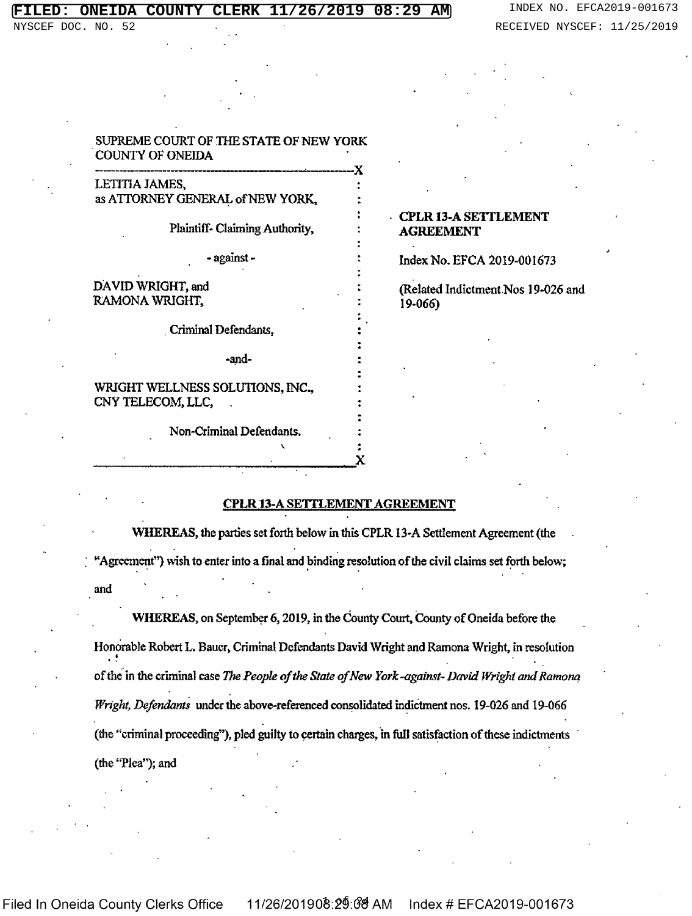#### **COUNTY** 08:29 AМ

DOC. NO. 52

## SUPREME COURT OF THE STATE OF NEW YORK **COUNTY OF ONEIDA**

LETITIA JAMES. as ATTORNEY GENERAL of NEW YORK,

Plaintiff-Claiming Authority,

- against -

## DAVID WRIGHT, and RAMONA WRIGHT,

Criminal Defendants.

-and-

WRIGHT WELLNESS SOLUTIONS, INC., CNY TELECOM, LLC,

Non-Criminal Defendants.

## **CPLR 13-A SETTLEMENT AGREEMENT**

Index No. EFCA 2019-001673

(Related Indictment Nos 19-026 and 19-066)

## **CPLR 13-A SETTLEMENT AGREEMENT**

WHEREAS, the parties set forth below in this CPLR 13-A Settlement Agreement (the "Agreement") wish to enter into a final and binding resolution of the civil claims set forth below; and

WHEREAS, on September 6, 2019, in the County Court, County of Oneida before the Honorable Robert L. Bauer, Criminal Defendants David Wright and Ramona Wright, in resolution of the in the criminal case The People of the State of New York-against- David Wright and Ramona Wright, Defendants under the above-referenced consolidated indictment nos. 19-026 and 19-066 (the "criminal proceeding"), pled guilty to certain charges, in full satisfaction of these indictments (the "Plea"); and

**Filed In Oneida County Clerks Office** 

11/26/201908:29:08 AM Index # EFCA2019-001673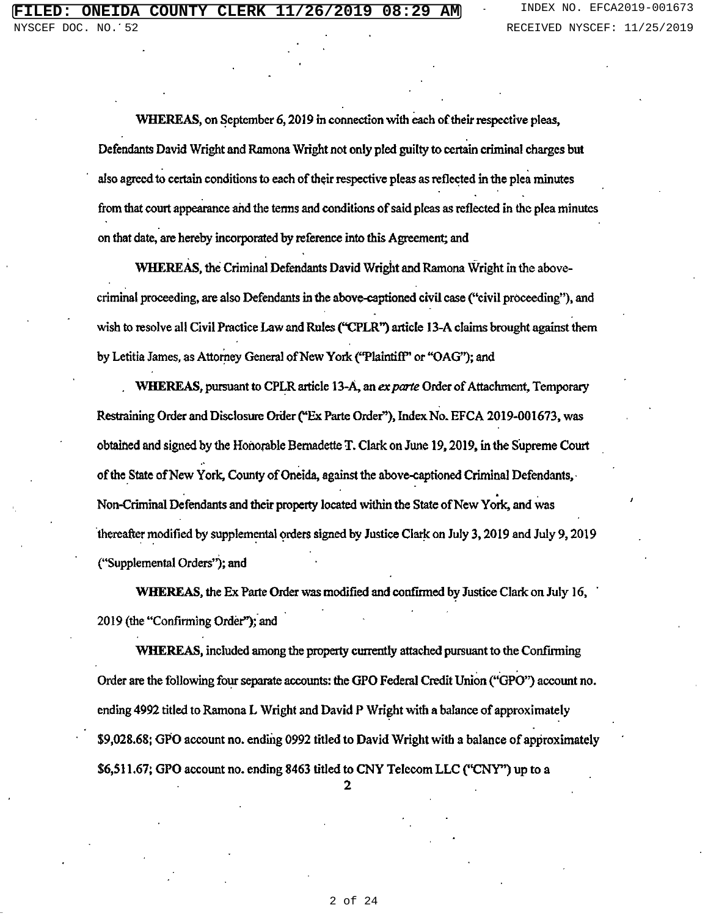WHEREAS, on September 6, 2019 in connection with each of their respective pleas, Defendants David Wright and Ramona Wright not only pled guilty to certain criminal charges but also agreed to certain conditions to each of their respective pleas as reflected in the plea minutes from that court appearance and the terms and conditions of said pleas as reflected in the plea minutes on that date, are hereby incorporated by reference into this Agreement; and

WHEREAS, the Criminal Defendants David Wright and Ramona Wright in the abovecriminal proceeding, are also Defendants in the above-captioned civil case ("civil proceeding"), and wish to resolve all Civil Practice Law and Rules ("CPLR") article 13-A claims brought against them by Letitia James, as Attorney General of New York ("Plaintiff" or "OAG"); and

WHEREAS, pursuant to CPLR article 13-A, an ex parte Order of Attachment, Temporary Restraining Order and Disclosure Order ("Ex Parte Order"), Index No. EFCA 2019-001673, was obtained and signed by the Honorable Bernadette T. Clark on June 19, 2019, in the Supreme Court of the State of New York, County of Oneida, against the above-captioned Criminal Defendants, Non-Criminal Defendants and their property located within the State of New York, and was thereafter modified by supplemental orders signed by Justice Clark on July 3, 2019 and July 9, 2019 ("Supplemental Orders"); and

WHEREAS, the Ex Parte Order was modified and confirmed by Justice Clark on July 16, 2019 (the "Confirming Order"); and

WHEREAS, included among the property currently attached pursuant to the Confirming Order are the following four separate accounts: the GPO Federal Credit Union ("GPO") account no. ending 4992 titled to Ramona L Wright and David P Wright with a balance of approximately \$9,028.68; GPO account no. ending 0992 titled to David Wright with a balance of approximately \$6,511.67; GPO account no. ending 8463 titled to CNY Telecom LLC ("CNY") up to a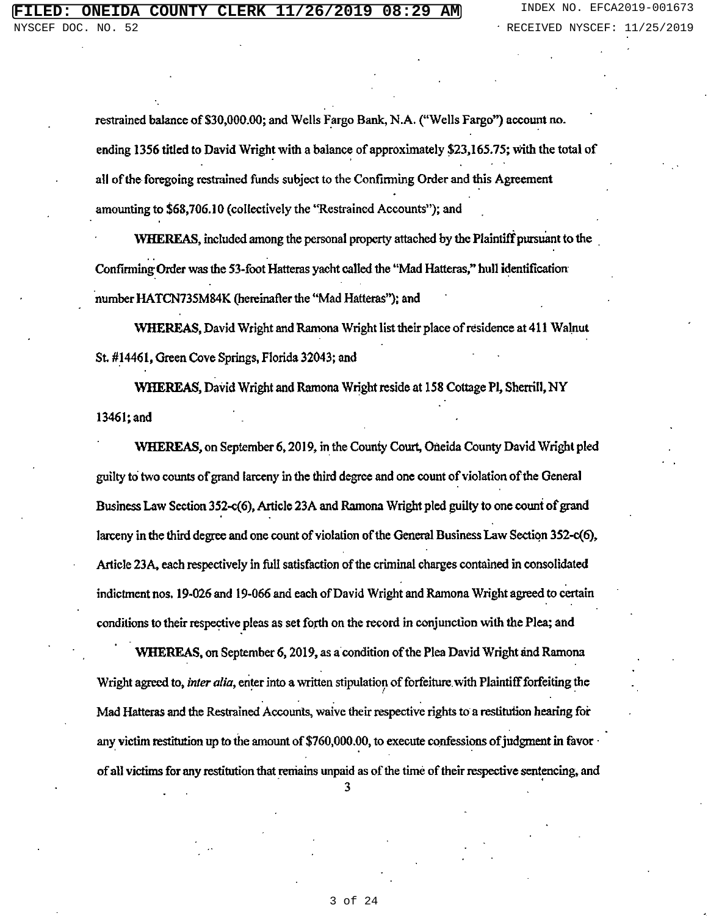restrained balance of \$30,000.00; and Wells Fargo Bank, N.A. ("Wells Fargo") account no. ending 1356 titled to David Wright with a balance of approximately \$23,165.75; with the total of all of the foregoing restrained funds subject to the Confirming Order and this Agreement amounting to \$68,706.10 (collectively the "Restrained Accounts"); and

WHEREAS, included among the personal property attached by the Plaintiff pursuant to the Confirming Order was the 53-foot Hatteras yacht called the "Mad Hatteras," hull identification number HATCN735M84K (hereinafter the "Mad Hatteras"); and

WHEREAS, David Wright and Ramona Wright list their place of residence at 411 Walnut St. #14461, Green Cove Springs, Florida 32043; and

WHEREAS, David Wright and Ramona Wright reside at 158 Cottage Pl, Sherrill, NY 13461; and

WHEREAS, on September 6, 2019, in the County Court, Oneida County David Wright pled guilty to two counts of grand larceny in the third degree and one count of violation of the General Business Law Section 352-c(6), Article 23A and Ramona Wright pled guilty to one count of grand larceny in the third degree and one count of violation of the General Business Law Section 352-c(6), Article 23A, each respectively in full satisfaction of the criminal charges contained in consolidated indictment nos. 19-026 and 19-066 and each of David Wright and Ramona Wright agreed to certain conditions to their respective pleas as set forth on the record in conjunction with the Plea; and

WHEREAS, on September 6, 2019, as a condition of the Plea David Wright and Ramona Wright agreed to, inter alia, enter into a written stipulation of forfeiture with Plaintiff forfeiting the Mad Hatteras and the Restrained Accounts, waive their respective rights to a restitution hearing for any victim restitution up to the amount of  $$760,000.00$ , to execute confessions of judgment in favor of all victims for any restitution that remains unpaid as of the time of their respective sentencing, and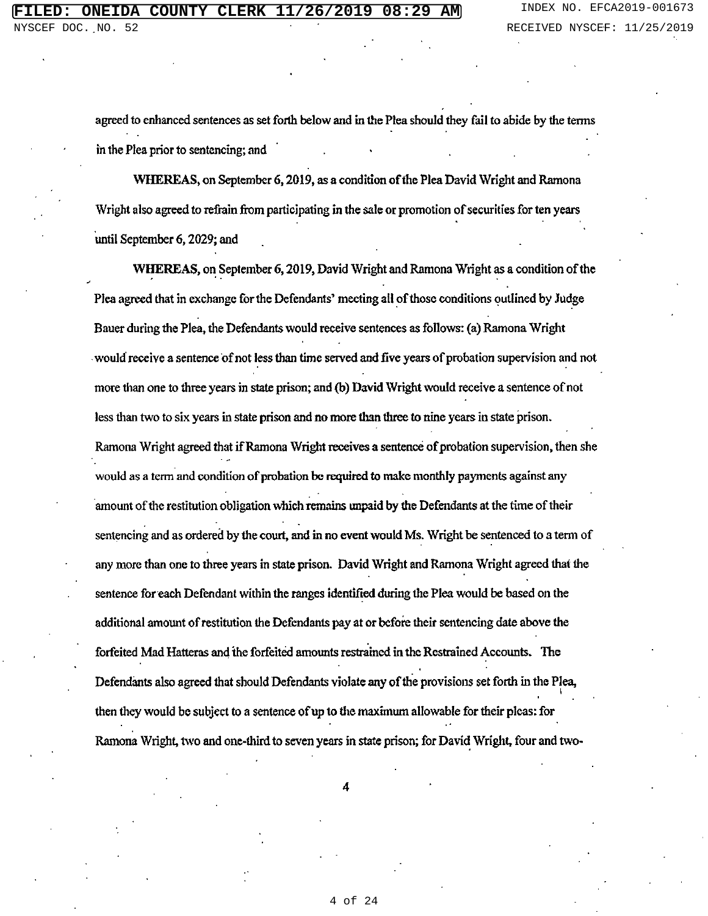agreed to enhanced sentences as set forth below and in the Plea should they fail to abide by the terms in the Plea prior to sentencing; and

WHEREAS, on September 6, 2019, as a condition of the Plea David Wright and Ramona Wright also agreed to refrain from participating in the sale or promotion of securities for ten years until September 6, 2029; and

WHEREAS, on September 6, 2019, David Wright and Ramona Wright as a condition of the Plea agreed that in exchange for the Defendants' meeting all of those conditions outlined by Judge Bauer during the Plea, the Defendants would receive sentences as follows: (a) Ramona Wright would receive a sentence of not less than time served and five years of probation supervision and not more than one to three years in state prison; and (b) David Wright would receive a sentence of not less than two to six years in state prison and no more than three to nine years in state prison. Ramona Wright agreed that if Ramona Wright receives a sentence of probation supervision, then she would as a term and condition of probation be required to make monthly payments against any amount of the restitution obligation which remains unpaid by the Defendants at the time of their sentencing and as ordered by the court, and in no event would Ms. Wright be sentenced to a term of any more than one to three years in state prison. David Wright and Ramona Wright agreed that the sentence for each Defendant within the ranges identified during the Plea would be based on the additional amount of restitution the Defendants pay at or before their sentencing date above the forfeited Mad Hatteras and the forfeited amounts restrained in the Restrained Accounts. The Defendants also agreed that should Defendants violate any of the provisions set forth in the Plea, then they would be subject to a sentence of up to the maximum allowable for their pleas: for Ramona Wright, two and one-third to seven years in state prison; for David Wright, four and two-

4 of 24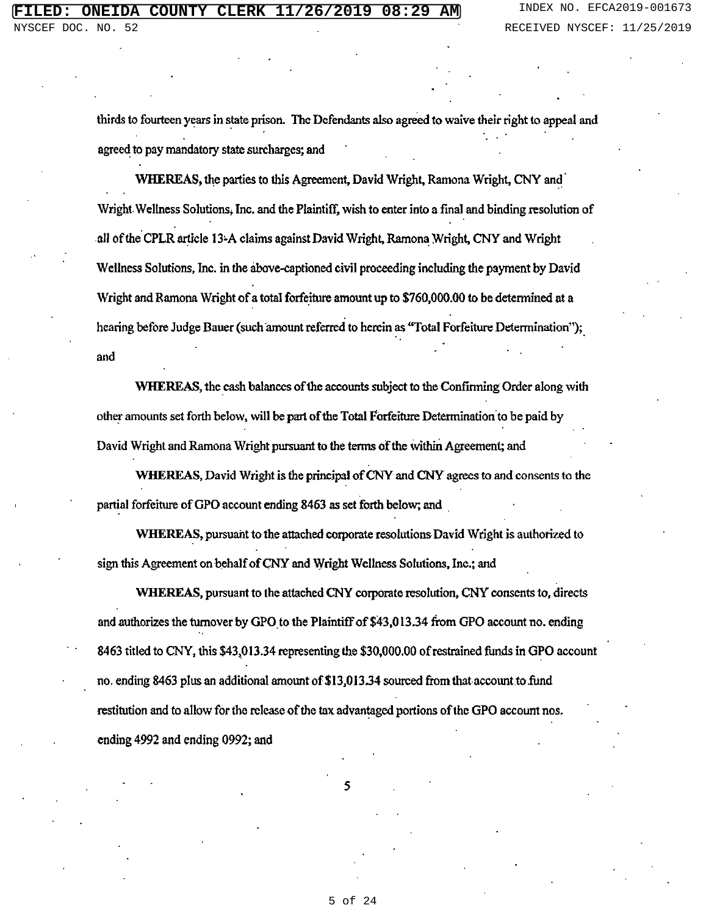thirds to fourteen years in state prison. The Defendants also agreed to waive their right to appeal and agreed to pay mandatory state surcharges; and

WHEREAS, the parties to this Agreement, David Wright, Ramona Wright, CNY and Wright Wellness Solutions, Inc. and the Plaintiff, wish to enter into a final and binding resolution of all of the CPLR article 13-A claims against David Wright, Ramona Wright, CNY and Wright Wellness Solutions, Inc. in the above-captioned civil proceeding including the payment by David Wright and Ramona Wright of a total forfeiture amount up to \$760,000.00 to be determined at a hearing before Judge Bauer (such amount referred to herein as "Total Forfeiture Determination"); and

WHEREAS, the cash balances of the accounts subject to the Confirming Order along with other amounts set forth below, will be part of the Total Forfeiture Determination to be paid by David Wright and Ramona Wright pursuant to the terms of the within Agreement; and

WHEREAS, David Wright is the principal of CNY and CNY agrees to and consents to the partial forfeiture of GPO account ending 8463 as set forth below; and

WHEREAS, pursuant to the attached corporate resolutions David Wright is authorized to sign this Agreement on behalf of CNY and Wright Wellness Solutions, Inc.; and

WHEREAS, pursuant to the attached CNY corporate resolution, CNY consents to, directs and authorizes the turnover by GPO to the Plaintiff of \$43,013.34 from GPO account no. ending 8463 titled to CNY, this \$43,013.34 representing the \$30,000,00 of restrained funds in GPO account no, ending 8463 plus an additional amount of \$13,013.34 sourced from that account to fund restitution and to allow for the release of the tax advantaged portions of the GPO account nos. ending 4992 and ending 0992; and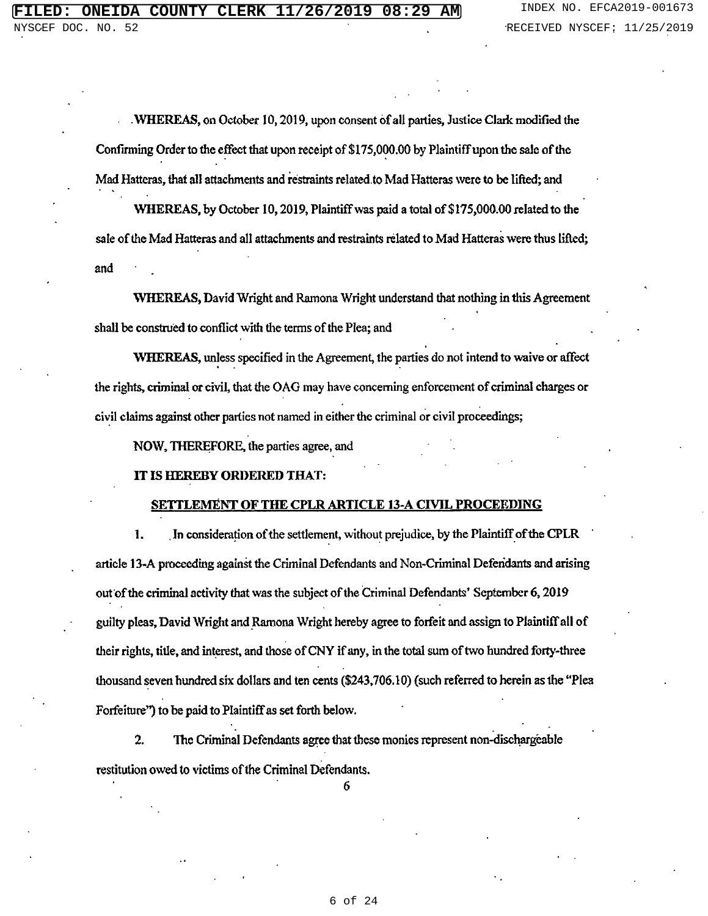WHEREAS, on October 10, 2019, upon consent of all parties, Justice Clark modified the Confirming Order to the effect that upon receipt of \$175,000.00 by Plaintiff upon the sale of the Mad Hatteras, that all attachments and restraints related to Mad Hatteras were to be lifted; and

WHEREAS, by October 10, 2019, Plaintiff was paid a total of \$175,000.00 related to the sale of the Mad Hatteras and all attachments and restraints related to Mad Hatteras were thus lifted; and

WHEREAS, David Wright and Ramona Wright understand that nothing in this Agreement shall be construed to conflict with the terms of the Plea; and

WHEREAS, unless specified in the Agreement, the parties do not intend to waive or affect the rights, criminal or civil, that the OAG may have concerning enforcement of criminal charges or civil claims against other parties not named in either the criminal or civil proceedings;

NOW, THEREFORE, the parties agree, and

## IT IS HEREBY ORDERED THAT:

#### **SETTLEMENT OF THE CPLR ARTICLE 13-A CIVIL PROCEEDING**

1. In consideration of the settlement, without prejudice, by the Plaintiff of the CPLR article 13-A proceeding against the Criminal Defendants and Non-Criminal Defendants and arising out of the criminal activity that was the subject of the Criminal Defendants' September 6, 2019 guilty pleas, David Wright and Ramona Wright hereby agree to forfeit and assign to Plaintiff all of their rights, title, and interest, and those of CNY if any, in the total sum of two hundred forty-three thousand seven hundred six dollars and ten cents (\$243,706.10) (such referred to herein as the "Plea Forfeiture") to be paid to Plaintiff as set forth below.

 $\overline{2}$ . The Criminal Defendants agree that these monies represent non-dischargeable restitution owed to victims of the Criminal Defendants.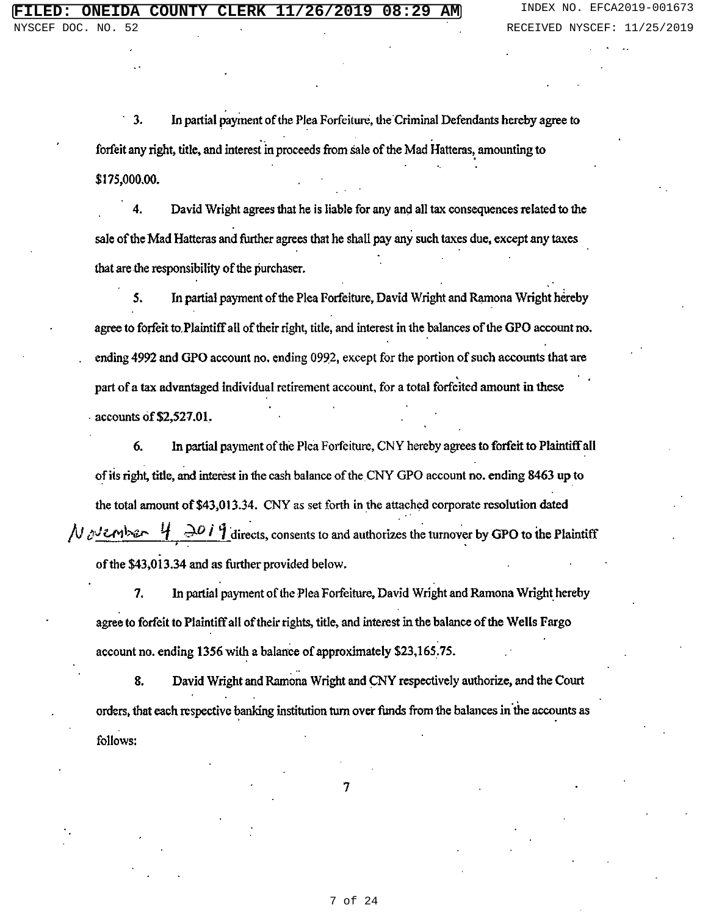$3.$ In partial payment of the Plea Forfeiture, the Criminal Defendants hereby agree to forfeit any right, title, and interest in proceeds from sale of the Mad Hatteras, amounting to \$175,000.00.

 $\overline{\mathbf{4}}$ David Wright agrees that he is liable for any and all tax consequences related to the sale of the Mad Hatteras and further agrees that he shall pay any such taxes due, except any taxes that are the responsibility of the purchaser.

In partial payment of the Plea Forfeiture, David Wright and Ramona Wright hereby 5. agree to forfeit to Plaintiff all of their right, title, and interest in the balances of the GPO account no. ending 4992 and GPO account no. ending 0992, except for the portion of such accounts that are part of a tax advantaged individual retirement account, for a total forfeited amount in these - accounts of  $$2,527.01$ .

In partial payment of the Plea Forfeiture, CNY hereby agrees to forfeit to Plaintiff all 6. of its right, title, and interest in the cash balance of the CNY GPO account no. ending 8463 up to the total amount of \$43,013.34. CNY as set forth in the attached corporate resolution dated  $\mu_{\text{other}}$  4  $\rightarrow$  0 i 9 directs, consents to and authorizes the turnover by GPO to the Plaintiff of the \$43,013.34 and as further provided below.

In partial payment of the Plea Forfeiture, David Wright and Ramona Wright hereby 7. agree to forfeit to Plaintiff all of their rights, title, and interest in the balance of the Wells Fargo account no. ending 1356 with a balance of approximately \$23,165.75.

David Wright and Ramona Wright and CNY respectively authorize, and the Court 8. orders, that each respective banking institution turn over funds from the balances in the accounts as follows: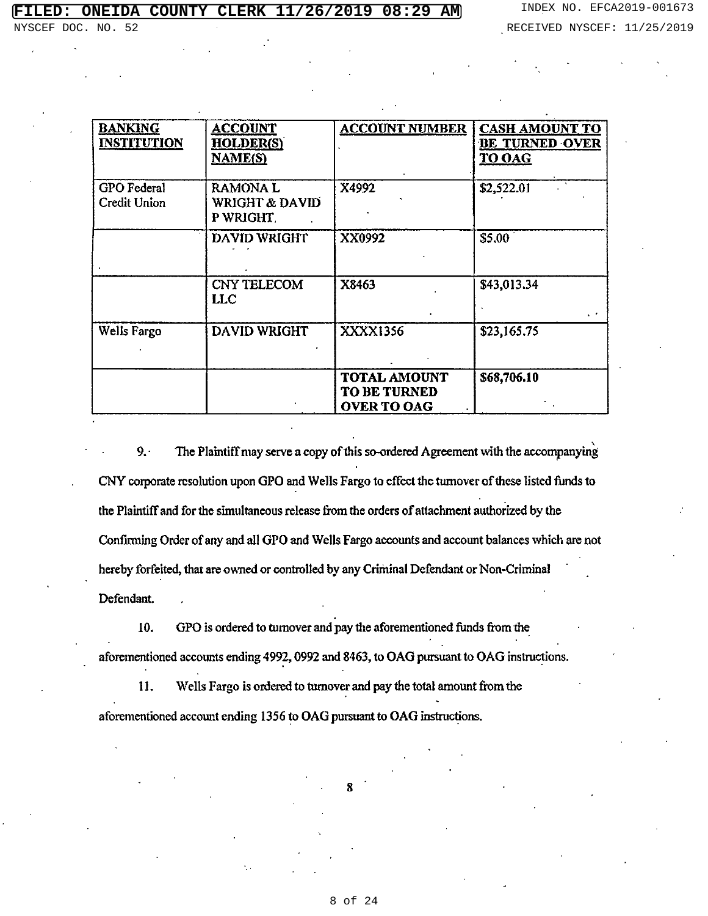| <b>BANKING</b><br><b>INSTITUTION</b>      | <b>ACCOUNT</b><br><b>HOLDER(S)</b><br><b>NAME(S)</b>    | <b>ACCOUNT NUMBER</b>                                     | <b>CASH AMOUNT TO</b><br><b>BE TURNED OVER</b><br><b>TO OAG</b> |
|-------------------------------------------|---------------------------------------------------------|-----------------------------------------------------------|-----------------------------------------------------------------|
| <b>GPO</b> Federal<br><b>Credit Union</b> | <b>RAMONAL</b><br><b>WRIGHT &amp; DAVID</b><br>P WRIGHT | X4992                                                     | \$2,522.01                                                      |
|                                           | <b>DAVID WRIGHT</b>                                     | XX0992                                                    | \$5.00                                                          |
|                                           | <b>CNY TELECOM</b><br>LLC                               | X8463                                                     | \$43,013.34                                                     |
| Wells Fargo                               | <b>DAVID WRIGHT</b>                                     | XXXX1356                                                  | \$23,165.75                                                     |
|                                           |                                                         | <b>TOTAL AMOUNT</b><br>TO BE TURNED<br><b>OVER TO OAG</b> | \$68,706.10                                                     |

 $9.$ The Plaintiff may serve a copy of this so-ordered Agreement with the accompanying CNY corporate resolution upon GPO and Wells Fargo to effect the turnover of these listed funds to the Plaintiff and for the simultaneous release from the orders of attachment authorized by the Confirming Order of any and all GPO and Wells Fargo accounts and account balances which are not hereby forfeited, that are owned or controlled by any Criminal Defendant or Non-Criminal Defendant.

GPO is ordered to turnover and pay the aforementioned funds from the 10. aforementioned accounts ending 4992, 0992 and 8463, to OAG pursuant to OAG instructions.

11. Wells Fargo is ordered to turnover and pay the total amount from the aforementioned account ending 1356 to OAG pursuant to OAG instructions.

8 of 24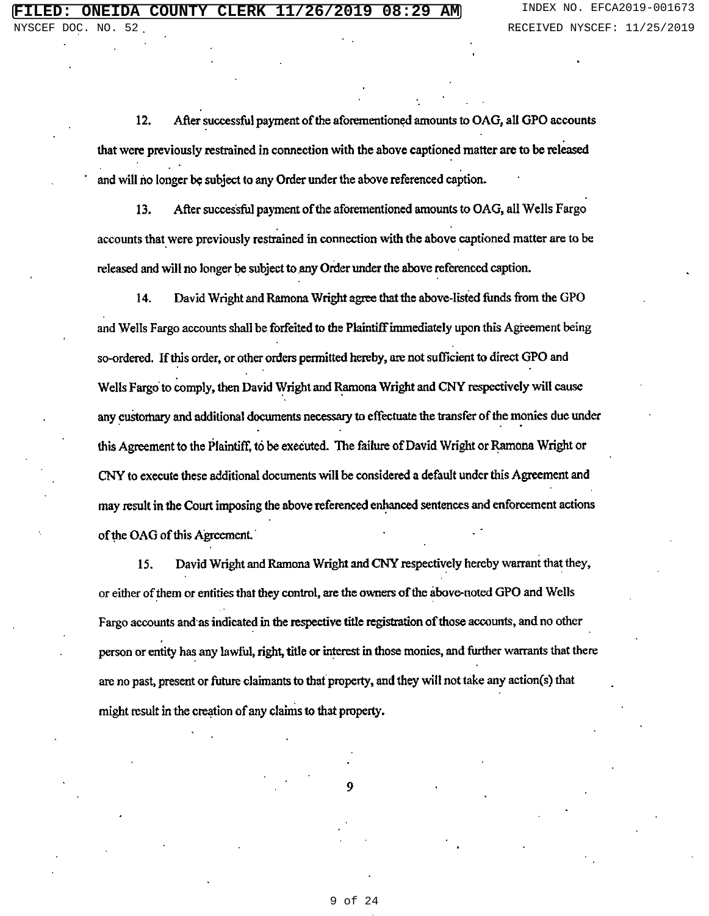After successful payment of the aforementioned amounts to OAG, all GPO accounts 12. that were previously restrained in connection with the above captioned matter are to be released and will no longer be subject to any Order under the above referenced caption.

13. After successful payment of the aforementioned amounts to OAG, all Wells Fargo accounts that were previously restrained in connection with the above captioned matter are to be released and will no longer be subject to any Order under the above referenced caption.

14. David Wright and Ramona Wright agree that the above-listed funds from the GPO and Wells Fargo accounts shall be forfeited to the Plaintiff immediately upon this Agreement being so-ordered. If this order, or other orders permitted hereby, are not sufficient to direct GPO and Wells Fargo to comply, then David Wright and Ramona Wright and CNY respectively will cause any customary and additional documents necessary to effectuate the transfer of the monies due under this Agreement to the Plaintiff, to be executed. The failure of David Wright or Ramona Wright or CNY to execute these additional documents will be considered a default under this Agreement and may result in the Court imposing the above referenced enhanced sentences and enforcement actions of the OAG of this Agreement.

David Wright and Ramona Wright and CNY respectively hereby warrant that they, 15. or either of them or entities that they control, are the owners of the above-noted GPO and Wells Fargo accounts and as indicated in the respective title registration of those accounts, and no other person or entity has any lawful, right, title or interest in those monies, and further warrants that there are no past, present or future claimants to that property, and they will not take any action(s) that might result in the creation of any claims to that property.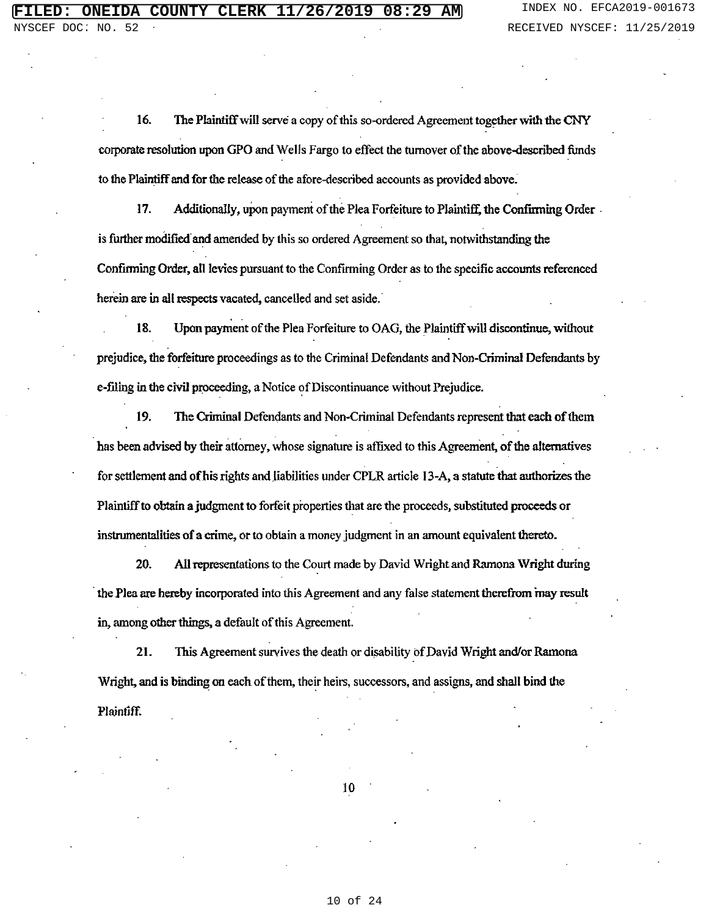16. The Plaintiff will serve a copy of this so-ordered Agreement together with the CNY corporate resolution upon GPO and Wells Fargo to effect the turnover of the above-described funds to the Plaintiff and for the release of the afore-described accounts as provided above.

17. Additionally, upon payment of the Plea Forfeiture to Plaintiff, the Confirming Order is further modified and amended by this so ordered Agreement so that, notwithstanding the Confirming Order, all levies pursuant to the Confirming Order as to the specific accounts referenced herein are in all respects vacated, cancelled and set aside.

18. Upon payment of the Plea Forfeiture to OAG, the Plaintiff will discontinue, without prejudice, the forfeiture proceedings as to the Criminal Defendants and Non-Criminal Defendants by e-filing in the civil proceeding, a Notice of Discontinuance without Prejudice.

19. The Criminal Defendants and Non-Criminal Defendants represent that each of them has been advised by their attorney, whose signature is affixed to this Agreement, of the alternatives for settlement and of his rights and liabilities under CPLR article 13-A, a statute that authorizes the Plaintiff to obtain a judgment to forfeit properties that are the proceeds, substituted proceeds or instrumentalities of a crime, or to obtain a money judgment in an amount equivalent thereto.

20. All representations to the Court made by David Wright and Ramona Wright during the Plea are hereby incorporated into this Agreement and any false statement therefrom may result in, among other things, a default of this Agreement.

21. This Agreement survives the death or disability of David Wright and/or Ramona Wright, and is binding on each of them, their heirs, successors, and assigns, and shall bind the Plaintiff.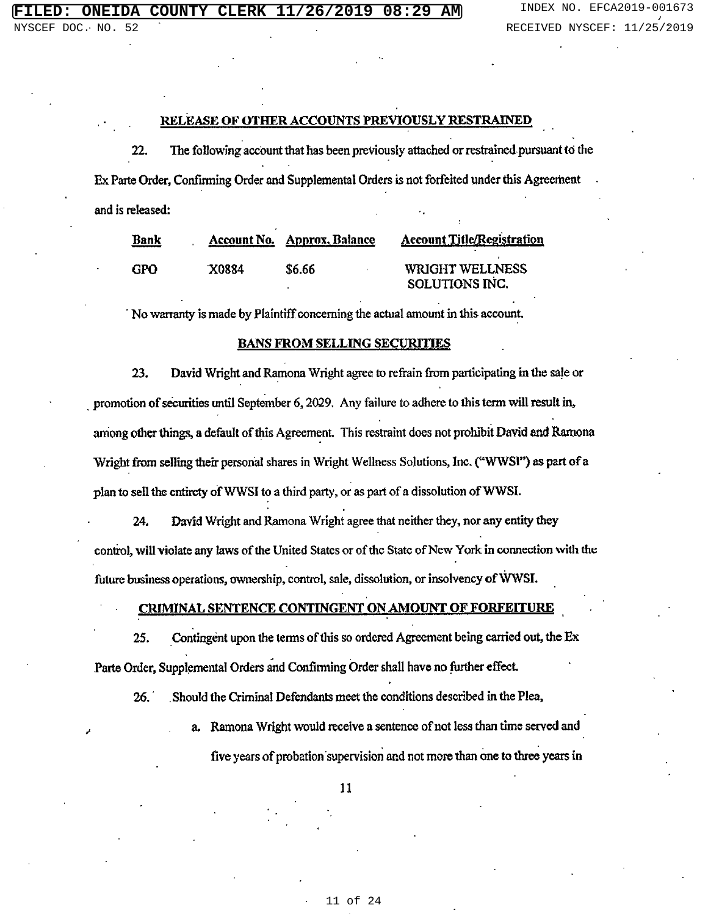# **FILED: ONEIDA COUNTY CLERK 11/26/2019 08:29 AM** INDEX NO. EFCA2019-001673

## RELEASE OF OTHER ACCOUNTS PREVIOUSLY RESTRAINED

22. The following account that has been previously attached or restrained pursuant to the Ex Parte Order, Confirming Order and Supplemental Orders is not forfeited under this Agreement and is released:

| <u>Bank</u> |       | <b>Account No. Approx, Balance</b> | <b>Account Title/Registration</b> |
|-------------|-------|------------------------------------|-----------------------------------|
|             |       |                                    |                                   |
| GPO         | X0884 | <b>S6.66</b>                       | <b>WRIGHT WELLNESS</b>            |
|             |       |                                    | SOLUTIONS INC.                    |

No warranty is made by Plaintiff concerning the actual amount in this account,

## **BANS FROM SELLING SECURITIES**

David Wright and Ramona Wright agree to refrain from participating in the sale or 23. promotion of securities until September 6, 2029. Any failure to adhere to this term will result in, among other things, a default of this Agreement. This restraint does not prohibit David and Ramona Wright from selling their personal shares in Wright Wellness Solutions, Inc. ("WWSI") as part of a plan to sell the entirety of WWSI to a third party, or as part of a dissolution of WWSI.

24. David Wright and Ramona Wright agree that neither they, nor any entity they control, will violate any laws of the United States or of the State of New York in connection with the future business operations, ownership, control, sale, dissolution, or insolvency of WWSI.

#### **CRIMINAL SENTENCE CONTINGENT ON AMOUNT OF FORFEITURE**

Contingent upon the terms of this so ordered Agreement being carried out, the Ex 25. Parte Order, Supplemental Orders and Confirming Order shall have no further effect.

Should the Criminal Defendants meet the conditions described in the Plea,  $26.$ 

> a. Ramona Wright would receive a sentence of not less than time served and five years of probation supervision and not more than one to three years in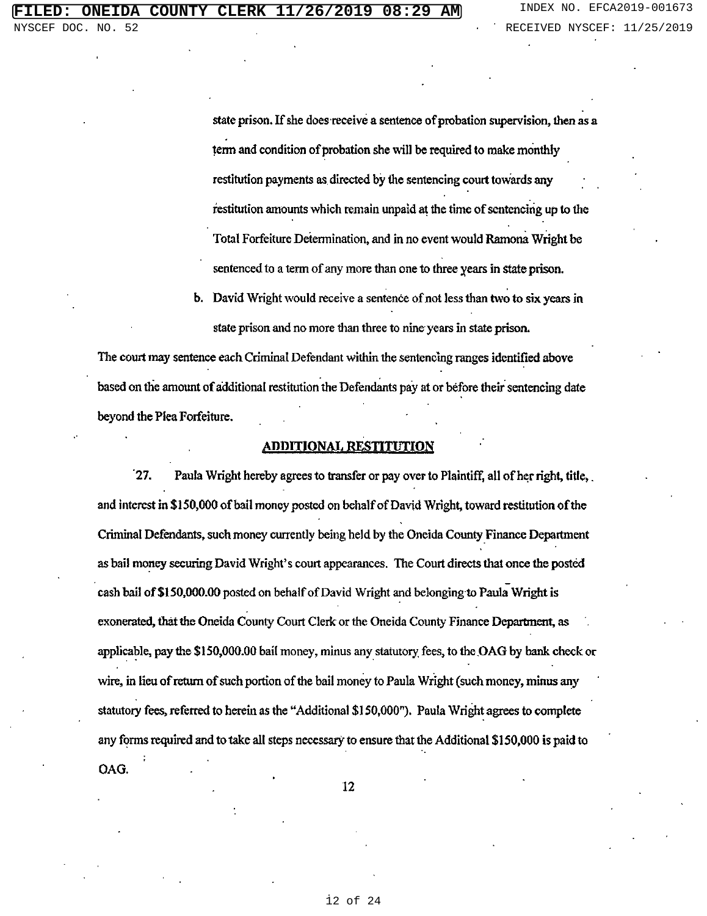state prison. If she does receive a sentence of probation supervision, then as a term and condition of probation she will be required to make monthly restitution payments as directed by the sentencing court towards any restitution amounts which remain unpaid at the time of sentencing up to the Total Forfeiture Determination, and in no event would Ramona Wright be sentenced to a term of any more than one to three years in state prison.

**b.** David Wright would receive a sentence of not less than two to six years in state prison and no more than three to nine years in state prison.

The court may sentence each Criminal Defendant within the sentencing ranges identified above based on the amount of additional restitution the Defendants pay at or before their sentencing date beyond the Plea Forfeiture.

## **ADDITIONAL RESTITUTION**

ั27. Paula Wright hereby agrees to transfer or pay over to Plaintiff, all of her right, title, and interest in \$150,000 of bail money posted on behalf of David Wright, toward restitution of the Criminal Defendants, such money currently being held by the Oneida County Finance Department as bail money securing David Wright's court appearances. The Court directs that once the posted cash bail of \$150,000.00 posted on behalf of David Wright and belonging to Paula Wright is exonerated, that the Oneida County Court Clerk or the Oneida County Finance Department, as applicable, pay the \$150,000.00 bail money, minus any statutory fees, to the OAG by bank check or wire, in lieu of return of such portion of the bail money to Paula Wright (such money, minus any statutory fees, referred to herein as the "Additional \$150,000"). Paula Wright agrees to complete any forms required and to take all steps necessary to ensure that the Additional \$150,000 is paid to OAG.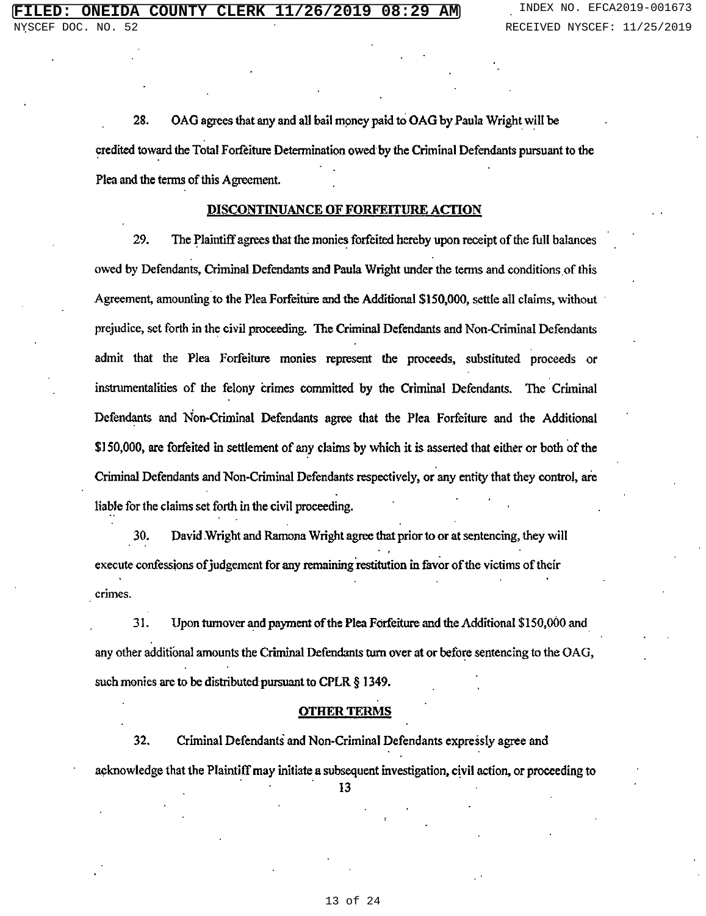28. OAG agrees that any and all bail money paid to OAG by Paula Wright will be credited toward the Total Forfeiture Determination owed by the Criminal Defendants pursuant to the Plea and the terms of this Agreement.

## **DISCONTINUANCE OF FORFEITURE ACTION**

29. The Plaintiff agrees that the monies forfeited hereby upon receipt of the full balances owed by Defendants, Criminal Defendants and Paula Wright under the terms and conditions of this Agreement, amounting to the Plea Forfeiture and the Additional \$150,000, settle all claims, without prejudice, set forth in the civil proceeding. The Criminal Defendants and Non-Criminal Defendants admit that the Plea Forfeiture monies represent the proceeds, substituted proceeds or instrumentalities of the felony crimes committed by the Criminal Defendants. The Criminal Defendants and Non-Criminal Defendants agree that the Plea Forfeiture and the Additional \$150,000, are forfeited in settlement of any claims by which it is asserted that either or both of the Criminal Defendants and Non-Criminal Defendants respectively, or any entity that they control, are liable for the claims set forth in the civil proceeding.

30. David Wright and Ramona Wright agree that prior to or at sentencing, they will execute confessions of judgement for any remaining restitution in favor of the victims of their crimes.

31. Upon turnover and payment of the Plea Forfeiture and the Additional \$150,000 and any other additional amounts the Criminal Defendants turn over at or before sentencing to the OAG, such monies are to be distributed pursuant to CPLR § 1349.

## **OTHER TERMS**

32. Criminal Defendants and Non-Criminal Defendants expressly agree and acknowledge that the Plaintiff may initiate a subsequent investigation, civil action, or proceeding to 13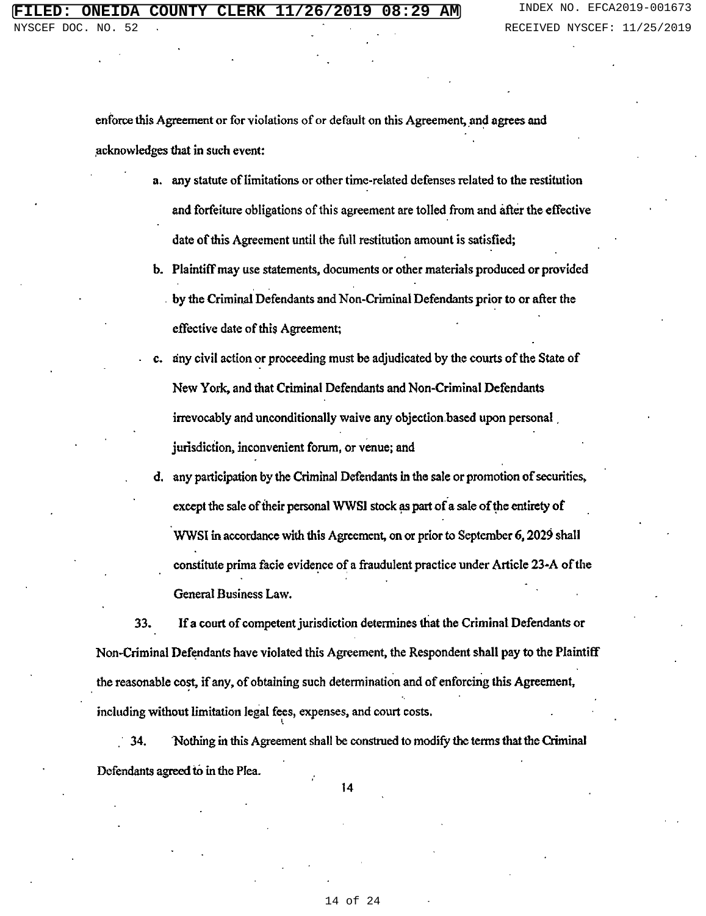enforce this Agreement or for violations of or default on this Agreement, and agrees and acknowledges that in such event:

- a. any statute of limitations or other time-related defenses related to the restitution and forfeiture obligations of this agreement are tolled from and after the effective date of this Agreement until the full restitution amount is satisfied;
- b. Plaintiff may use statements, documents or other materials produced or provided by the Criminal Defendants and Non-Criminal Defendants prior to or after the effective date of this Agreement;
- any civil action or proceeding must be adjudicated by the courts of the State of New York, and that Criminal Defendants and Non-Criminal Defendants irrevocably and unconditionally waive any objection based upon personal jurisdiction, inconvenient forum, or venue; and
- d. any participation by the Criminal Defendants in the sale or promotion of securities, except the sale of their personal WWSI stock as part of a sale of the entirety of WWSI in accordance with this Agreement, on or prior to September 6, 2029 shall constitute prima facie evidence of a fraudulent practice under Article 23-A of the General Business Law.

33. If a court of competent jurisdiction determines that the Criminal Defendants or Non-Criminal Defendants have violated this Agreement, the Respondent shall pay to the Plaintiff the reasonable cost, if any, of obtaining such determination and of enforcing this Agreement, including without limitation legal fees, expenses, and court costs.

34. Nothing in this Agreement shall be construed to modify the terms that the Criminal Defendants agreed to in the Plea.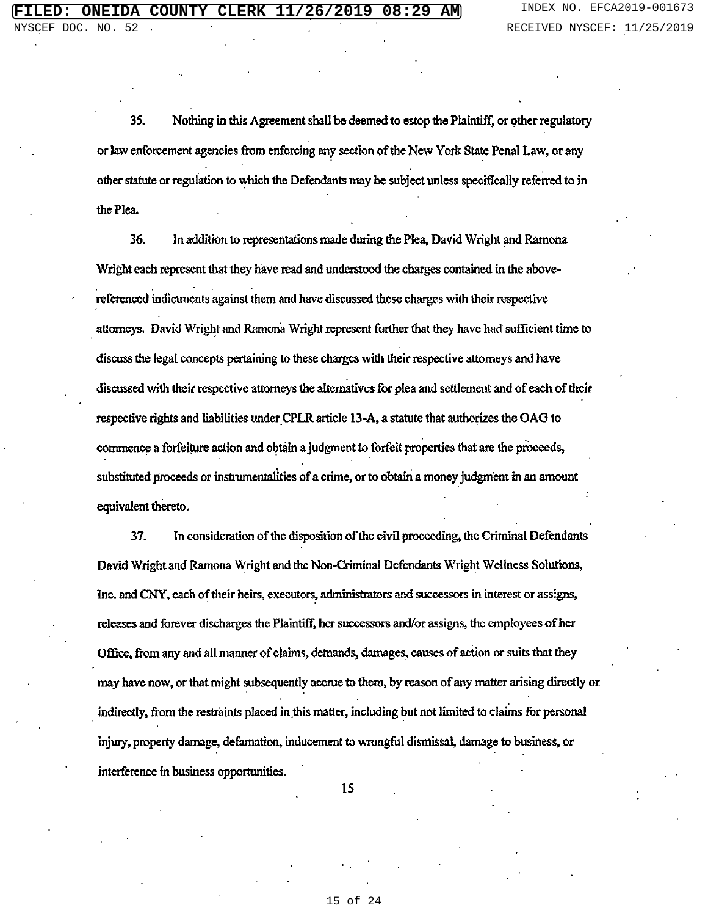35. Nothing in this Agreement shall be deemed to estop the Plaintiff, or other regulatory or law enforcement agencies from enforcing any section of the New York State Penal Law, or any other statute or regulation to which the Defendants may be subject unless specifically referred to in the Plea.

36. In addition to representations made during the Plea, David Wright and Ramona Wright each represent that they have read and understood the charges contained in the abovereferenced indictments against them and have discussed these charges with their respective attorneys. David Wright and Ramona Wright represent further that they have had sufficient time to discuss the legal concepts pertaining to these charges with their respective attorneys and have discussed with their respective attorneys the alternatives for plea and settlement and of each of their respective rights and liabilities under CPLR article 13-A, a statute that authorizes the OAG to commence a forfeiture action and obtain a judgment to forfeit properties that are the proceeds, substituted proceeds or instrumentalities of a crime, or to obtain a money judgment in an amount equivalent thereto.

37. In consideration of the disposition of the civil proceeding, the Criminal Defendants David Wright and Ramona Wright and the Non-Criminal Defendants Wright Wellness Solutions, Inc. and CNY, each of their heirs, executors, administrators and successors in interest or assigns, releases and forever discharges the Plaintiff, her successors and/or assigns, the employees of her Office, from any and all manner of claims, demands, damages, causes of action or suits that they may have now, or that might subsequently accrue to them, by reason of any matter arising directly or indirectly, from the restraints placed in this matter, including but not limited to claims for personal injury, property damage, defamation, inducement to wrongful dismissal, damage to business, or interference in business opportunities.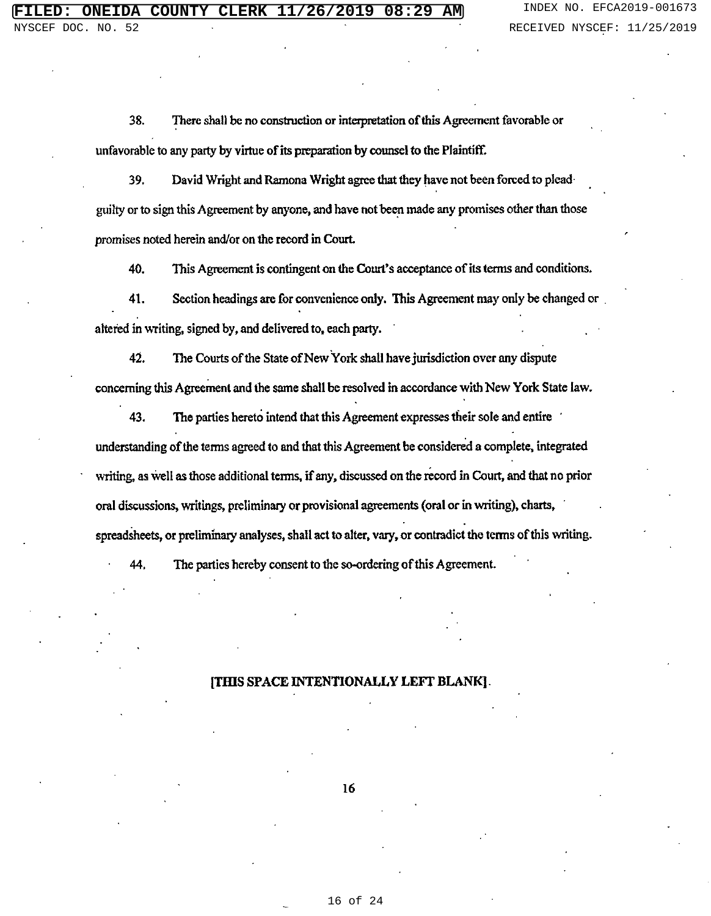38. There shall be no construction or interpretation of this Agreement favorable or unfavorable to any party by virtue of its preparation by counsel to the Plaintiff.

39. David Wright and Ramona Wright agree that they have not been forced to plead guilty or to sign this Agreement by anyone, and have not been made any promises other than those promises noted herein and/or on the record in Court.

40. This Agreement is contingent on the Court's acceptance of its terms and conditions.

Section headings are for convenience only. This Agreement may only be changed or 41. altered in writing, signed by, and delivered to, each party.

 $42.$ The Courts of the State of New York shall have jurisdiction over any dispute concerning this Agreement and the same shall be resolved in accordance with New York State law.

43. The parties hereto intend that this Agreement expresses their sole and entire understanding of the terms agreed to and that this Agreement be considered a complete, integrated writing, as well as those additional terms, if any, discussed on the record in Court, and that no prior oral discussions, writings, preliminary or provisional agreements (oral or in writing), charts, spreadsheets, or preliminary analyses, shall act to alter, vary, or contradict the terms of this writing.

44. The parties hereby consent to the so-ordering of this Agreement.

#### [THIS SPACE INTENTIONALLY LEFT BLANK].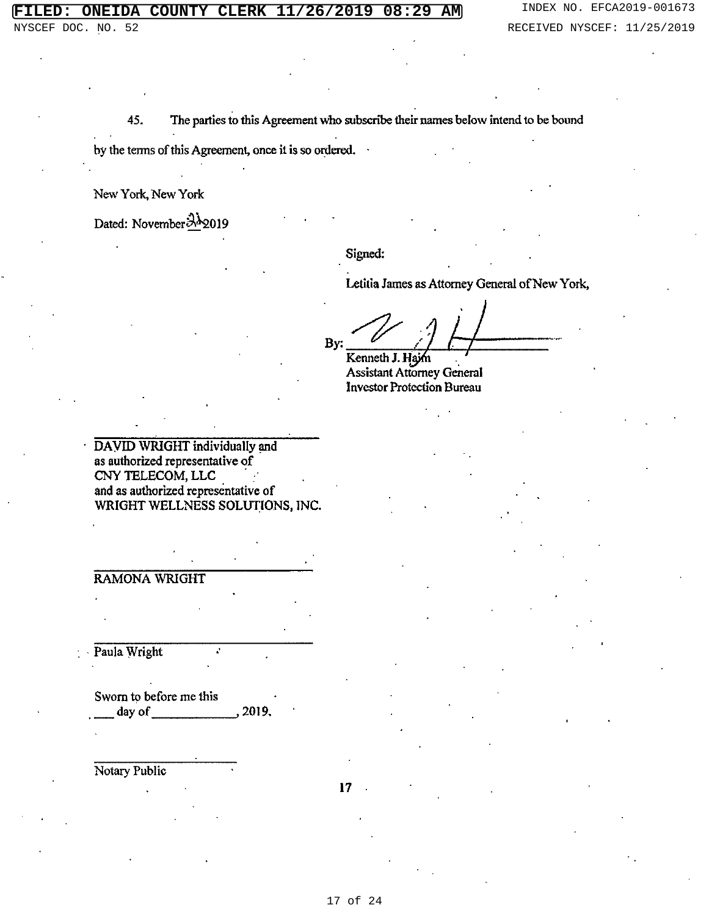45. The parties to this Agreement who subscribe their names below intend to be bound

by the terms of this Agreement, once it is so ordered.

New York, New York

Dated: November 312019

Signed:

Letitia James as Attorney General of New York,

By: Kenneth J. Hajm

**Assistant Attorney General Investor Protection Bureau** 

DAVID WRIGHT individually and as authorized representative of CNY TELECOM, LLC and as authorized representative of WRIGHT WELLNESS SOLUTIONS, INC.

**RAMONA WRIGHT** 

Paula Wright

Sworn to before me this day of , 2019,

Notary Public

 $17$ 

17 of 24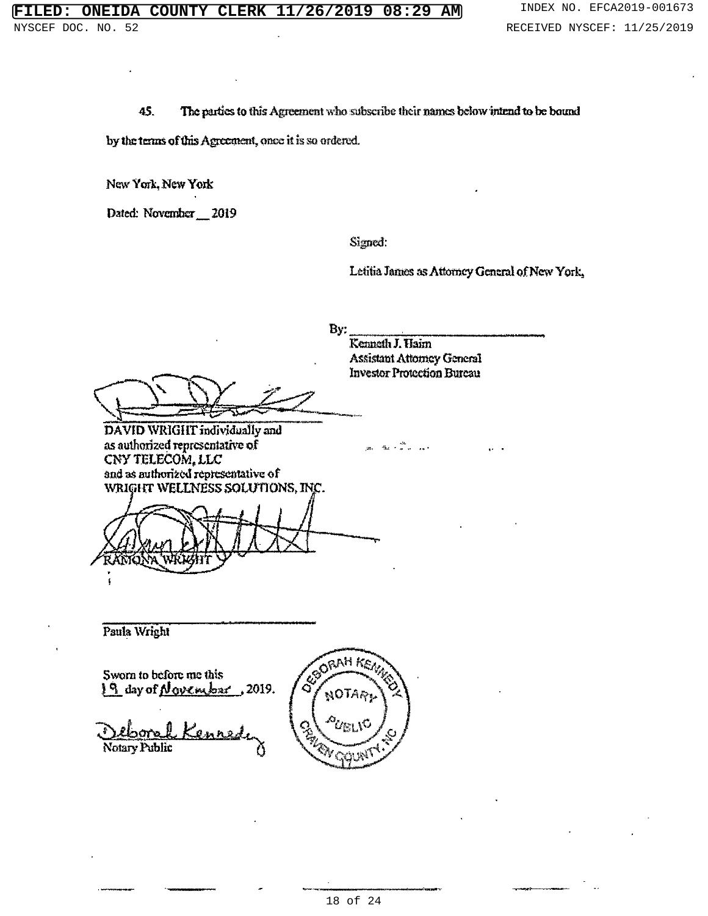The parties to this Agreement who subscribe their names below intend to be bound 45.

by the terms of this Agreement, once it is so ordered.

New York, New York

Dated: November 2019

Signed:

Letitia James as Attorney General of New York,

 $\mathbf{B}$ y:

Kenneth J. Haim **Assistant Attorney General Investor Protection Bureau** 

DAVID WRIGHT individually and as authorized representative of CNY TELECOM, LLC and as authorized representative of

WRIGHT WELLNESS SOLUTIONS, INC.

Paula Wright

Sworn to before me this  $19$  day of November, 2019.

Notary Public



RAH KS,

Q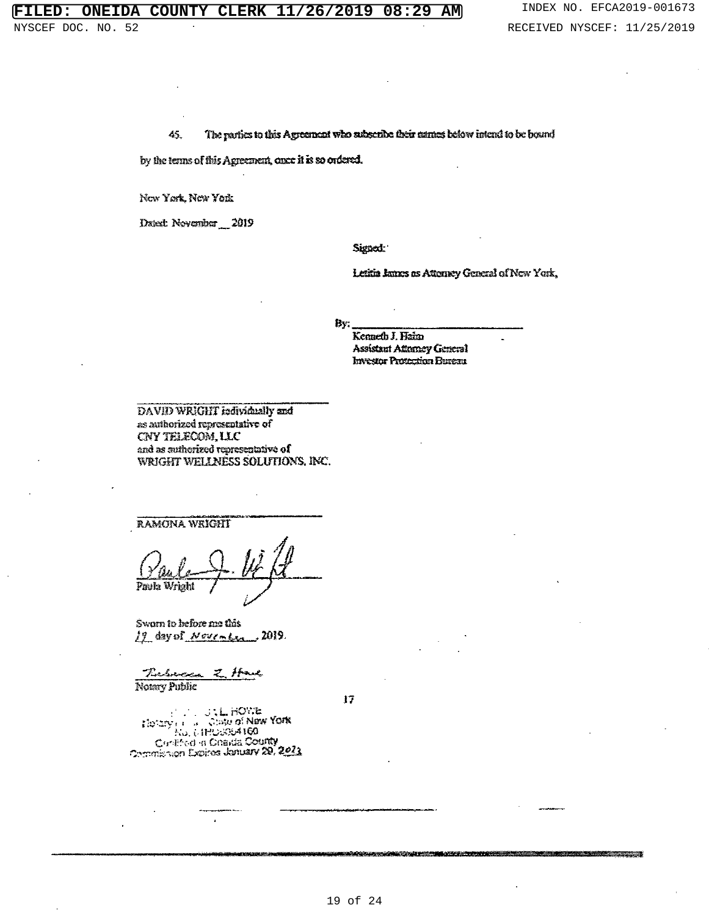## INDEX NO. EFCA2019-001673 RECEIVED NYSCEF: 11/25/2019

45. The parties to this Agreement who subscribe their names below intend to be bound

by the terms of this Agreement, once it is so ordered.

Now York, Now York

Dated: November 2019

Signed:

Letitia James as Attorney General of New York,

By.

Kenneth J. Haim **Assistant Attorney General Investor Protection Bureau** 

DAVID WRIGHT individually and as authorized representative of CNY TELECOM, LLC and as authorized representative of WRIGHT WELLNESS SOLUTIONS, INC.

**RAMONA WEIGHT** 

Paula

Sworn to before me this 19 day of Neutrales 2019.

<u>Tubecco</u>  $\mathcal{Z}$ يمدعهم Notary Public

 $17$ 

Electry Francisco Contents of New York<br>Electry Francisco Contents Real<br>Contents Contents County<br>Commission Expires January 20, 2023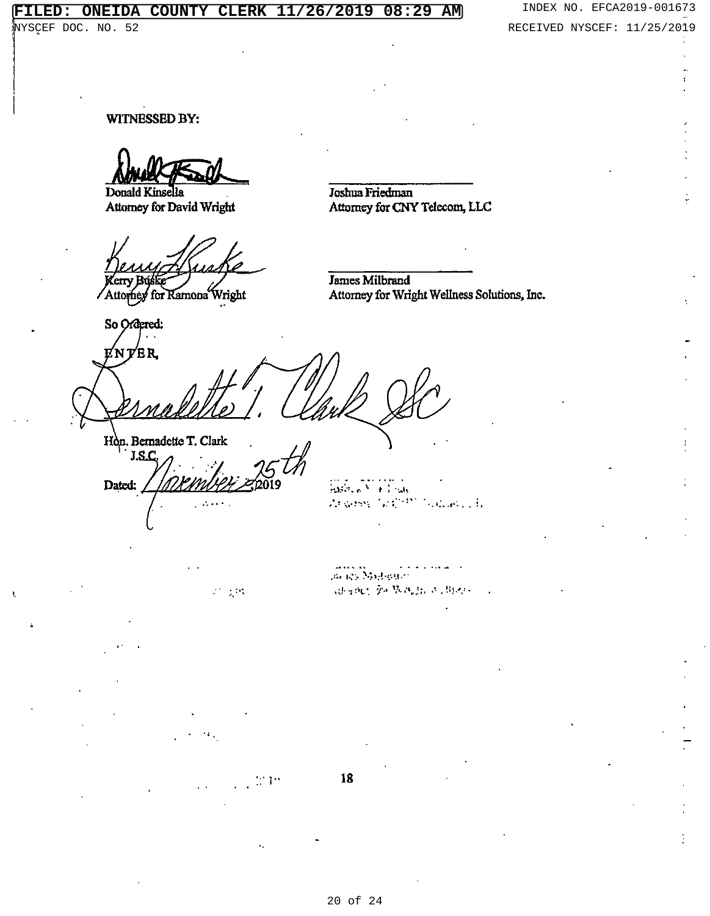DĄ **COUNTY CLERK** 201 .g 08  $: 29$ <u>AMJ</u> ОŅ z 6

NYSCEF DOC. NO. 52

WITNESSED BY:

Donald Kinsella Attorney for David Wright

Attorney for Ramona Wright

So Ordered:

ENTER

Joshua Friedman

**James Milbrand** 

Attorney for CNY Telecom, LLC

Attorney for Wright Wellness Solutions, Inc.

Hon. Bernadette T. Clark J.S.C.

Dated:

 $\mathcal{L} = \mathcal{L}^{\text{L}}$  .

 $\sim 3.19$ 

 $\frac{1}{2}\sqrt{3}\sqrt{2}\sqrt{2}\sqrt{3}\sqrt{3}$ Argent Scientists Gallery H.

ación Midward 《谢谢顿》第47节,西治以及《胡说》

18

20 of 24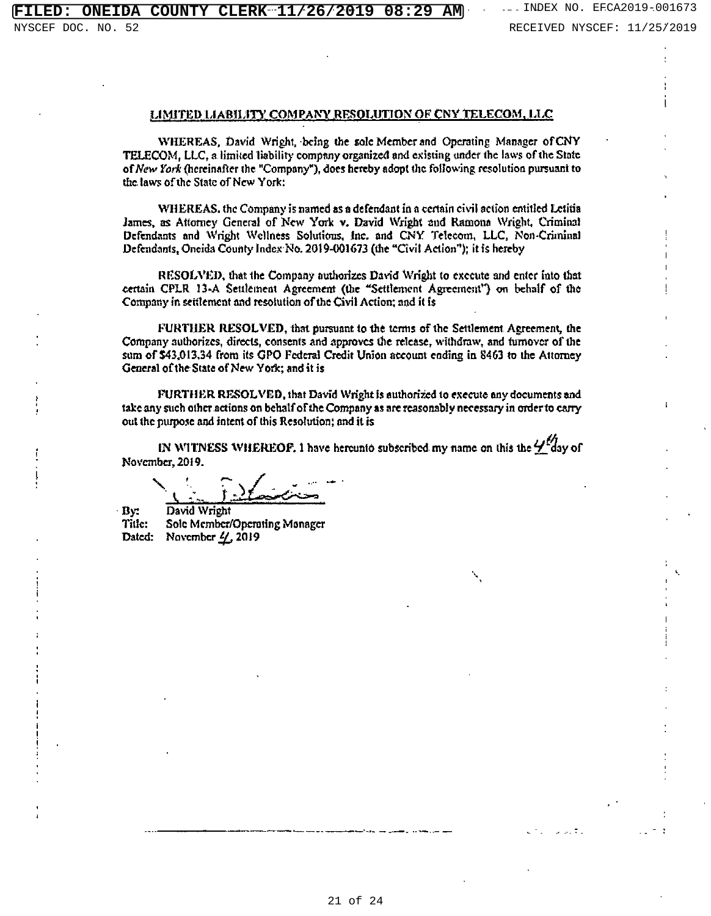#### LIMITED LIABILITY COMPANY RESOLUTION OF CNY TELECOM, LLC

WHEREAS, David Wright, being the sole Member and Operating Manager of CNY TELECOM, LLC, a limited liability company organized and existing under the laws of the State of New York (hereinafter the "Company"), does hereby adopt the following resolution pursuant to the laws of the State of New York:

WHEREAS, the Company is named as a defendant in a certain civil action entitled Letitia James, as Attorney General of New York v. David Wright and Ramona Wright, Criminal Defendants and Wright Wellness Solutions, Inc. and CNY Telecom, LLC, Non-Criminal Defendants, Oneida County Index No. 2019-001673 (the "Civil Action"); it is hereby

RESOLVED, that the Company authorizes David Wright to execute and enter into that certain CPLR 13-A Seulement Agreement (the "Settlement Agreement") on behalf of the Company in settlement and resolution of the Civil Action; and it is

FURTHER RESOLVED, that pursuant to the terms of the Settlement Agreement, the Company authorizes, directs, consents and approves the release, withdraw, and turnover of the sum of \$43,013.34 from its GPO Federal Credit Union account ending in 8463 to the Attorney General of the State of New York; and it is

FURTHER RESOLVED, that David Wright is authorized to execute any documents and take any such other actions on behalf of the Company as are reasonably necessary in order to carry out the purpose and intent of this Resolution; and it is

IN WITNESS WHEREOF. 1 have hereunto subscribed my name on this the  $\frac{1}{2}$  day of November, 2019.

Bv: David Wright Sole Member/Operating Manager Title: Dated: November  $\frac{I}{I}$ , 2019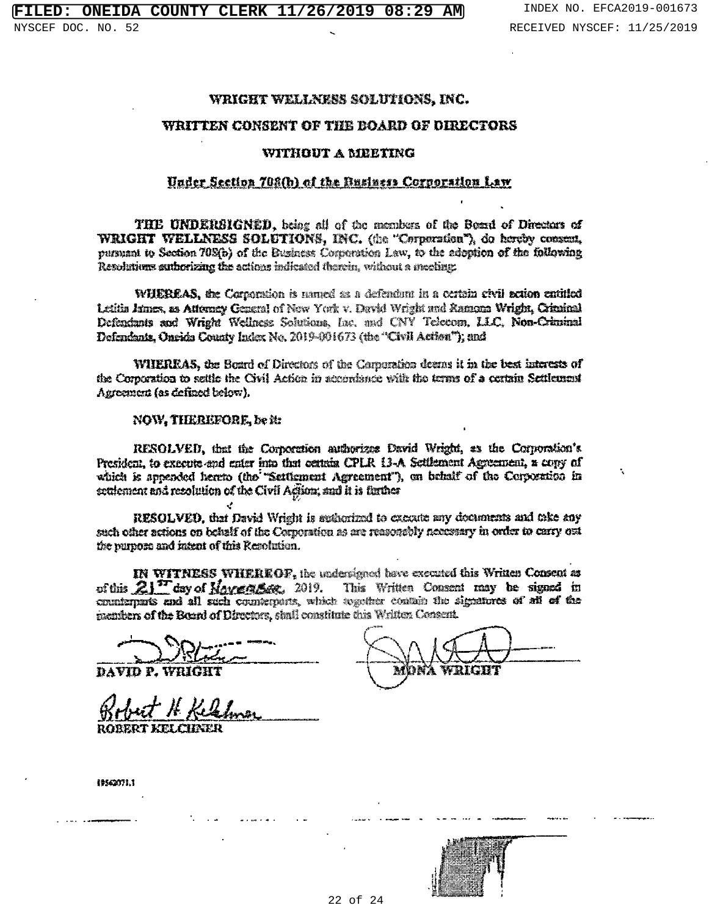## WRIGHT WELLNESS SOLUTIONS, INC.

### WRITTEN CONSENT OF THE BOARD OF DIRECTORS

## WITHOUT A MEETING

## Under Section 708(b) of the Business Cornoration Law

THE UNDERSIGNED, being all of the members of the Bossd of Directors of WRIGHT WELLNESS SOLUTIONS, INC. (the "Corporation"), do hereby consent. pursuant to Section 708(b) of the Business Corporation Law, to the adoption of the following Resolutions authorizing the actions indicated therein, without a meeting:

WHEREAS, the Corporation is named as a defendant in a certain civil action entitled Letitia James, as Attorney General of New York v. David Wright and Ramona Wright, Criminal Defendants and Wright Wellness Solutions, Inc. and CNY Telecom, LLC, Non-Criminal Defendants, Oneids County Index No. 2019-001673 (the "Civil Action"); and

WIIEREAS, the Board of Directors of the Corporation deems it in the best interests of the Corporation to settle the Civil Action in accordance with the terms of a certain Settlement Agreement (as defined below).

#### NOW, THEREFORE, be in

RESOLVED, that the Corporation authorizes David Wright, as the Corporation's President, to execute and enter into that certain CPLR 13-A Settlement Agreement, a copy of which is appended hereto (the "Settlement Agreement"), on behalf of the Corporation in settlement and recolution of the Civil Agion; and it is further

RESOLVED, that David Wright is sudterfield to execute any documents and take any such other actions on behalf of the Corporation as are reasonably necessary in order to carry out the purpose and intent of this Resolution.

IN WITNESS WHEREOF, the undersigned have executed this Written Consent as of this  $21^{\prime\prime}$  day of  $\text{Maxe.g.}$   $\text{Res.}$  2019. This Written Consent may be signed in counterparts and all such counterparts, which together contain the signatures of all of the members of the Board of Directors, shall constitute this Written Consent.

DAVID P. WHIGH

**ROBERT KELCHNER** 

19542071.1

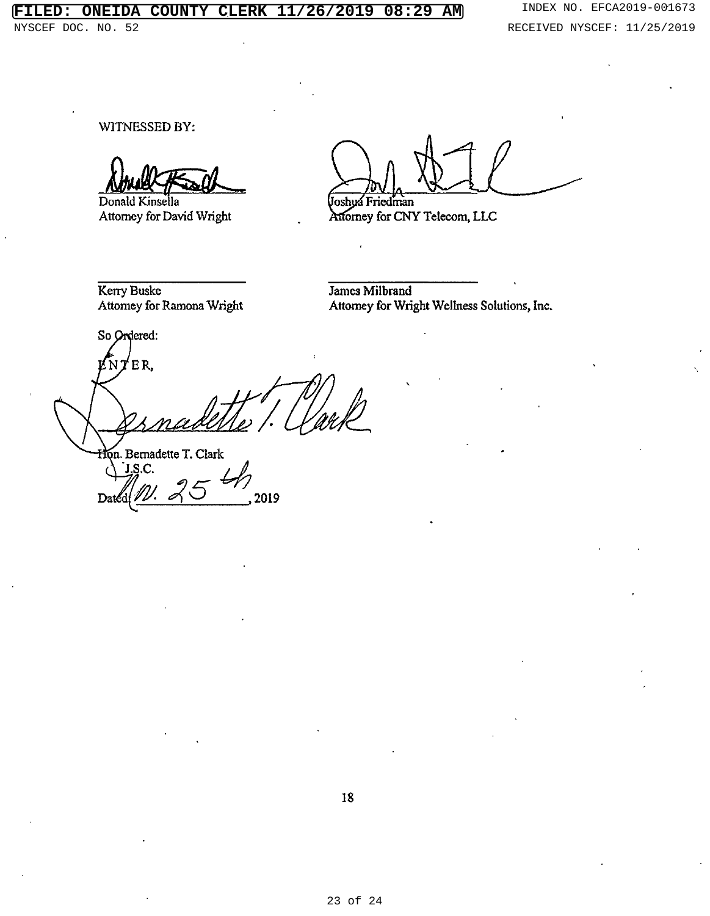## **ONEIDA COUNTY CLERK 11/26/2019 08:29 AM** INDEX NO. EFCA2019-001673

NYSCEF DOC. NO. 52 **RECEIVED NYSCEF: 11/25/2019** 

WITNESSED BY:

Donald Kinsella Attorney for David Wright

Joshua Friedman

Attorney for CNY Telecom, LLC

Kerry Buske Attorney for Ramona Wright

James Milbrand Attomey for Wright Wellness Solutions, Inc.

So Ordered: 'ER, Hon. Bernadette T. Clark

 $J.S.C.$ 2019 Dat